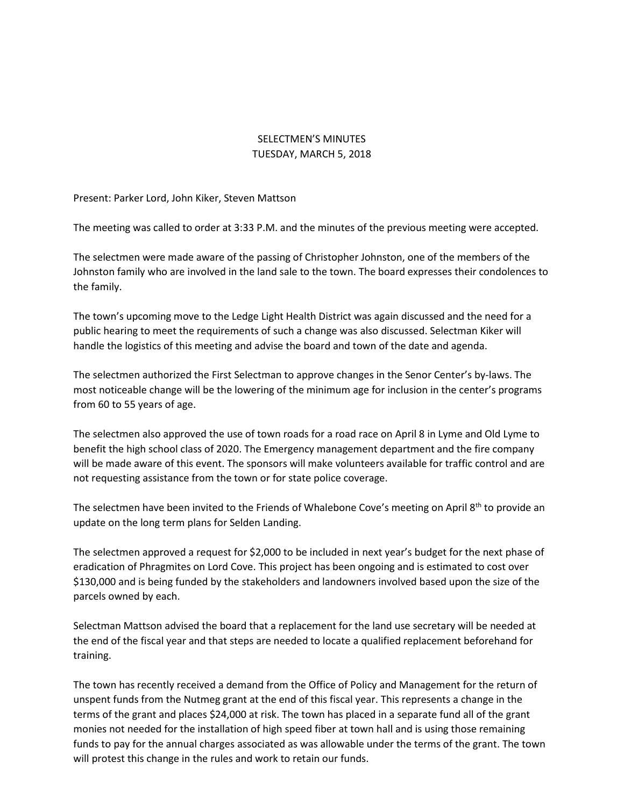## SELECTMEN'S MINUTES TUESDAY, MARCH 5, 2018

Present: Parker Lord, John Kiker, Steven Mattson

The meeting was called to order at 3:33 P.M. and the minutes of the previous meeting were accepted.

The selectmen were made aware of the passing of Christopher Johnston, one of the members of the Johnston family who are involved in the land sale to the town. The board expresses their condolences to the family.

The town's upcoming move to the Ledge Light Health District was again discussed and the need for a public hearing to meet the requirements of such a change was also discussed. Selectman Kiker will handle the logistics of this meeting and advise the board and town of the date and agenda.

The selectmen authorized the First Selectman to approve changes in the Senor Center's by-laws. The most noticeable change will be the lowering of the minimum age for inclusion in the center's programs from 60 to 55 years of age.

The selectmen also approved the use of town roads for a road race on April 8 in Lyme and Old Lyme to benefit the high school class of 2020. The Emergency management department and the fire company will be made aware of this event. The sponsors will make volunteers available for traffic control and are not requesting assistance from the town or for state police coverage.

The selectmen have been invited to the Friends of Whalebone Cove's meeting on April 8<sup>th</sup> to provide an update on the long term plans for Selden Landing.

The selectmen approved a request for \$2,000 to be included in next year's budget for the next phase of eradication of Phragmites on Lord Cove. This project has been ongoing and is estimated to cost over \$130,000 and is being funded by the stakeholders and landowners involved based upon the size of the parcels owned by each.

Selectman Mattson advised the board that a replacement for the land use secretary will be needed at the end of the fiscal year and that steps are needed to locate a qualified replacement beforehand for training.

The town has recently received a demand from the Office of Policy and Management for the return of unspent funds from the Nutmeg grant at the end of this fiscal year. This represents a change in the terms of the grant and places \$24,000 at risk. The town has placed in a separate fund all of the grant monies not needed for the installation of high speed fiber at town hall and is using those remaining funds to pay for the annual charges associated as was allowable under the terms of the grant. The town will protest this change in the rules and work to retain our funds.